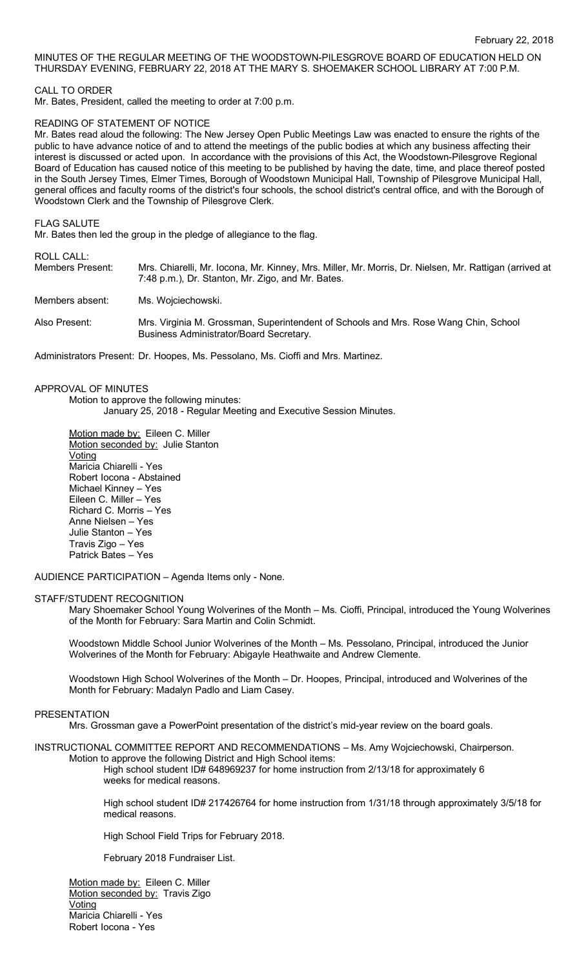# MINUTES OF THE REGULAR MEETING OF THE WOODSTOWN-PILESGROVE BOARD OF EDUCATION HELD ON THURSDAY EVENING, FEBRUARY 22, 2018 AT THE MARY S. SHOEMAKER SCHOOL LIBRARY AT 7:00 P.M.

## CALL TO ORDER

Mr. Bates, President, called the meeting to order at 7:00 p.m.

### READING OF STATEMENT OF NOTICE

Mr. Bates read aloud the following: The New Jersey Open Public Meetings Law was enacted to ensure the rights of the public to have advance notice of and to attend the meetings of the public bodies at which any business affecting their interest is discussed or acted upon. In accordance with the provisions of this Act, the Woodstown-Pilesgrove Regional Board of Education has caused notice of this meeting to be published by having the date, time, and place thereof posted in the South Jersey Times, Elmer Times, Borough of Woodstown Municipal Hall, Township of Pilesgrove Municipal Hall, general offices and faculty rooms of the district's four schools, the school district's central office, and with the Borough of Woodstown Clerk and the Township of Pilesgrove Clerk.

#### FLAG SALUTE

Mr. Bates then led the group in the pledge of allegiance to the flag.

# ROLL CALL:

| Members Present: | Mrs. Chiarelli, Mr. Iocona, Mr. Kinney, Mrs. Miller, Mr. Morris, Dr. Nielsen, Mr. Rattigan (arrived at<br>7:48 p.m.), Dr. Stanton, Mr. Zigo, and Mr. Bates. |
|------------------|-------------------------------------------------------------------------------------------------------------------------------------------------------------|
| Members absent:  | Ms. Wojciechowski.                                                                                                                                          |
| Also Present:    | Mrs. Virginia M. Grossman, Superintendent of Schools and Mrs. Rose Wang Chin, School<br>Business Administrator/Board Secretary.                             |

Administrators Present: Dr. Hoopes, Ms. Pessolano, Ms. Cioffi and Mrs. Martinez.

# APPROVAL OF MINUTES

Motion to approve the following minutes: January 25, 2018 - Regular Meeting and Executive Session Minutes.

Motion made by: Eileen C. Miller Motion seconded by: Julie Stanton **Voting** Maricia Chiarelli - Yes Robert Iocona - Abstained Michael Kinney – Yes Eileen C. Miller – Yes Richard C. Morris – Yes Anne Nielsen – Yes Julie Stanton – Yes Travis Zigo – Yes Patrick Bates – Yes

AUDIENCE PARTICIPATION – Agenda Items only - None.

#### STAFF/STUDENT RECOGNITION

Mary Shoemaker School Young Wolverines of the Month – Ms. Cioffi, Principal, introduced the Young Wolverines of the Month for February: Sara Martin and Colin Schmidt.

Woodstown Middle School Junior Wolverines of the Month – Ms. Pessolano, Principal, introduced the Junior Wolverines of the Month for February: Abigayle Heathwaite and Andrew Clemente.

Woodstown High School Wolverines of the Month – Dr. Hoopes, Principal, introduced and Wolverines of the Month for February: Madalyn Padlo and Liam Casey.

### PRESENTATION

Mrs. Grossman gave a PowerPoint presentation of the district's mid-year review on the board goals.

# INSTRUCTIONAL COMMITTEE REPORT AND RECOMMENDATIONS – Ms. Amy Wojciechowski, Chairperson.

Motion to approve the following District and High School items: High school student ID# 648969237 for home instruction from 2/13/18 for approximately 6 weeks for medical reasons.

High school student ID# 217426764 for home instruction from 1/31/18 through approximately 3/5/18 for medical reasons.

High School Field Trips for February 2018.

February 2018 Fundraiser List.

Motion made by: Eileen C. Miller Motion seconded by: Travis Zigo Voting Maricia Chiarelli - Yes Robert Iocona - Yes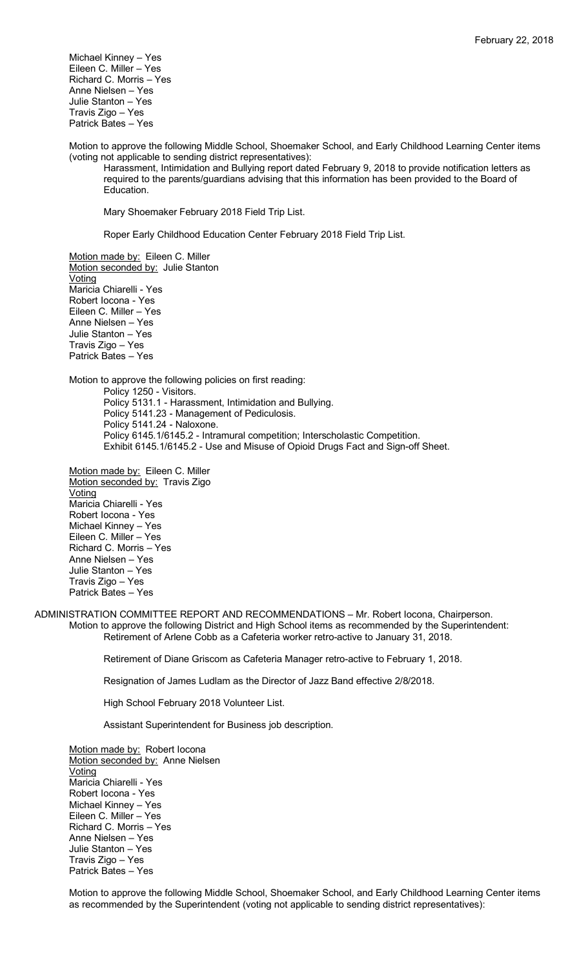Michael Kinney – Yes Eileen C. Miller – Yes Richard C. Morris – Yes Anne Nielsen – Yes Julie Stanton – Yes Travis Zigo – Yes Patrick Bates – Yes

Motion to approve the following Middle School, Shoemaker School, and Early Childhood Learning Center items (voting not applicable to sending district representatives):

Harassment, Intimidation and Bullying report dated February 9, 2018 to provide notification letters as required to the parents/guardians advising that this information has been provided to the Board of Education.

Mary Shoemaker February 2018 Field Trip List.

Roper Early Childhood Education Center February 2018 Field Trip List.

Motion made by: Eileen C. Miller Motion seconded by: Julie Stanton Voting Maricia Chiarelli - Yes Robert Iocona - Yes Eileen C. Miller – Yes Anne Nielsen – Yes Julie Stanton – Yes Travis Zigo – Yes Patrick Bates – Yes

Motion to approve the following policies on first reading: Policy 1250 - Visitors. Policy 5131.1 - Harassment, Intimidation and Bullying. Policy 5141.23 - Management of Pediculosis. Policy 5141.24 - Naloxone. Policy 6145.1/6145.2 - Intramural competition; Interscholastic Competition. Exhibit 6145.1/6145.2 - Use and Misuse of Opioid Drugs Fact and Sign-off Sheet.

Motion made by: Eileen C. Miller Motion seconded by: Travis Zigo **Voting** Maricia Chiarelli - Yes Robert Iocona - Yes Michael Kinney – Yes Eileen C. Miller – Yes Richard C. Morris – Yes Anne Nielsen – Yes Julie Stanton – Yes Travis Zigo – Yes Patrick Bates – Yes

ADMINISTRATION COMMITTEE REPORT AND RECOMMENDATIONS – Mr. Robert Iocona, Chairperson. Motion to approve the following District and High School items as recommended by the Superintendent: Retirement of Arlene Cobb as a Cafeteria worker retro-active to January 31, 2018.

Retirement of Diane Griscom as Cafeteria Manager retro-active to February 1, 2018.

Resignation of James Ludlam as the Director of Jazz Band effective 2/8/2018.

High School February 2018 Volunteer List.

Assistant Superintendent for Business job description.

Motion made by: Robert locona Motion seconded by: Anne Nielsen **Voting** Maricia Chiarelli - Yes Robert Iocona - Yes Michael Kinney – Yes Eileen C. Miller – Yes Richard C. Morris – Yes Anne Nielsen – Yes Julie Stanton – Yes Travis Zigo – Yes Patrick Bates – Yes

Motion to approve the following Middle School, Shoemaker School, and Early Childhood Learning Center items as recommended by the Superintendent (voting not applicable to sending district representatives):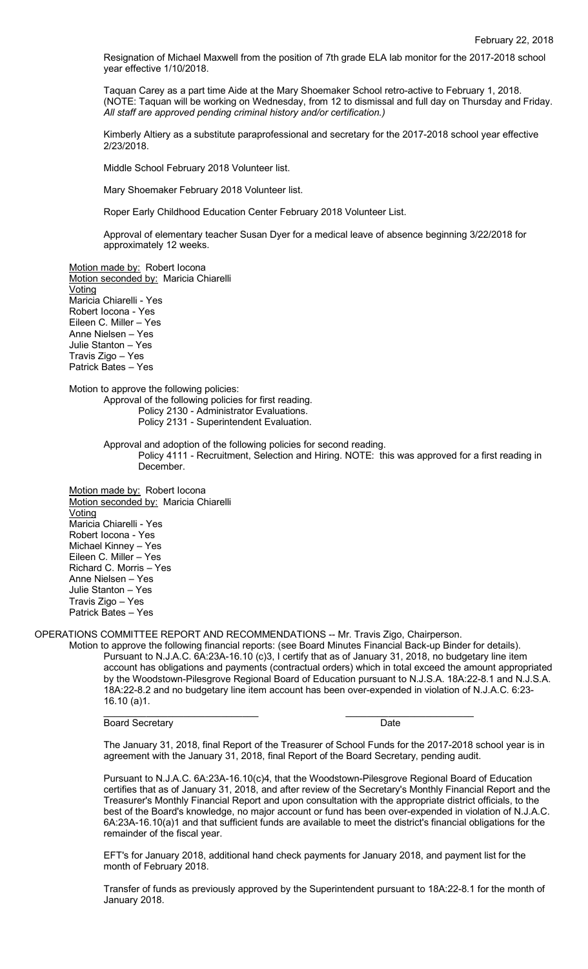Resignation of Michael Maxwell from the position of 7th grade ELA lab monitor for the 2017-2018 school year effective 1/10/2018.

Taquan Carey as a part time Aide at the Mary Shoemaker School retro-active to February 1, 2018. (NOTE: Taquan will be working on Wednesday, from 12 to dismissal and full day on Thursday and Friday. *All staff are approved pending criminal history and/or certification.)*

Kimberly Altiery as a substitute paraprofessional and secretary for the 2017-2018 school year effective 2/23/2018.

Middle School February 2018 Volunteer list.

Mary Shoemaker February 2018 Volunteer list.

Roper Early Childhood Education Center February 2018 Volunteer List.

Approval of elementary teacher Susan Dyer for a medical leave of absence beginning 3/22/2018 for approximately 12 weeks.

Motion made by: Robert locona Motion seconded by: Maricia Chiarelli **Voting** Maricia Chiarelli - Yes Robert Iocona - Yes Eileen C. Miller – Yes Anne Nielsen – Yes Julie Stanton – Yes Travis Zigo – Yes Patrick Bates – Yes

Motion to approve the following policies:

Approval of the following policies for first reading. Policy 2130 - Administrator Evaluations.

Policy 2131 - Superintendent Evaluation.

Approval and adoption of the following policies for second reading. Policy 4111 - Recruitment, Selection and Hiring. NOTE: this was approved for a first reading in December.

Motion made by: Robert Iocona Motion seconded by: Maricia Chiarelli **Voting** Maricia Chiarelli - Yes Robert Iocona - Yes Michael Kinney – Yes Eileen C. Miller – Yes Richard C. Morris – Yes Anne Nielsen – Yes Julie Stanton – Yes Travis Zigo – Yes Patrick Bates – Yes

OPERATIONS COMMITTEE REPORT AND RECOMMENDATIONS -- Mr. Travis Zigo, Chairperson.

Motion to approve the following financial reports: (see Board Minutes Financial Back-up Binder for details). Pursuant to N.J.A.C. 6A:23A-16.10 (c)3, I certify that as of January 31, 2018, no budgetary line item account has obligations and payments (contractual orders) which in total exceed the amount appropriated by the Woodstown-Pilesgrove Regional Board of Education pursuant to N.J.S.A. 18A:22-8.1 and N.J.S.A. 18A:22-8.2 and no budgetary line item account has been over-expended in violation of N.J.A.C. 6:23- 16.10 (a)1.

Board Secretary **Date** 

The January 31, 2018, final Report of the Treasurer of School Funds for the 2017-2018 school year is in agreement with the January 31, 2018, final Report of the Board Secretary, pending audit.

\_\_\_\_\_\_\_\_\_\_\_\_\_\_\_\_\_\_\_\_\_\_\_\_\_\_\_\_\_ \_\_\_\_\_\_\_\_\_\_\_\_\_\_\_\_\_\_\_\_\_\_\_\_

Pursuant to N.J.A.C. 6A:23A-16.10(c)4, that the Woodstown-Pilesgrove Regional Board of Education certifies that as of January 31, 2018, and after review of the Secretary's Monthly Financial Report and the Treasurer's Monthly Financial Report and upon consultation with the appropriate district officials, to the best of the Board's knowledge, no major account or fund has been over-expended in violation of N.J.A.C. 6A:23A-16.10(a)1 and that sufficient funds are available to meet the district's financial obligations for the remainder of the fiscal year.

EFT's for January 2018, additional hand check payments for January 2018, and payment list for the month of February 2018.

Transfer of funds as previously approved by the Superintendent pursuant to 18A:22-8.1 for the month of January 2018.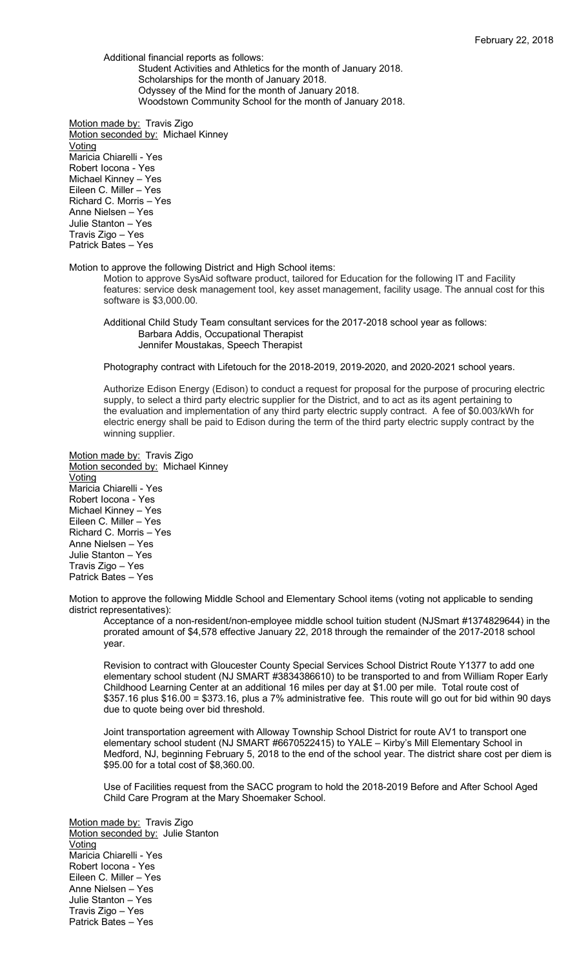Additional financial reports as follows:

Student Activities and Athletics for the month of January 2018. Scholarships for the month of January 2018. Odyssey of the Mind for the month of January 2018. Woodstown Community School for the month of January 2018.

Motion made by: Travis Zigo Motion seconded by: Michael Kinney Voting Maricia Chiarelli - Yes Robert Iocona - Yes Michael Kinney – Yes Eileen C. Miller – Yes Richard C. Morris – Yes Anne Nielsen – Yes Julie Stanton – Yes Travis Zigo – Yes Patrick Bates – Yes

Motion to approve the following District and High School items:

Motion to approve SysAid software product, tailored for Education for the following IT and Facility features: service desk management tool, key asset management, facility usage. The annual cost for this software is \$3,000.00.

Additional Child Study Team consultant services for the 2017-2018 school year as follows: Barbara Addis, Occupational Therapist Jennifer Moustakas, Speech Therapist

Photography contract with Lifetouch for the 2018-2019, 2019-2020, and 2020-2021 school years.

Authorize Edison Energy (Edison) to conduct a request for proposal for the purpose of procuring electric supply, to select a third party electric supplier for the District, and to act as its agent pertaining to the evaluation and implementation of any third party electric supply contract. A fee of \$0.003/kWh for electric energy shall be paid to Edison during the term of the third party electric supply contract by the winning supplier.

Motion made by: Travis Zigo Motion seconded by: Michael Kinney **Voting** Maricia Chiarelli - Yes Robert Iocona - Yes Michael Kinney – Yes Eileen C. Miller – Yes Richard C. Morris – Yes Anne Nielsen – Yes Julie Stanton – Yes Travis Zigo – Yes Patrick Bates – Yes

Motion to approve the following Middle School and Elementary School items (voting not applicable to sending district representatives):

Acceptance of a non-resident/non-employee middle school tuition student (NJSmart #1374829644) in the prorated amount of \$4,578 effective January 22, 2018 through the remainder of the 2017-2018 school year.

Revision to contract with Gloucester County Special Services School District Route Y1377 to add one elementary school student (NJ SMART #3834386610) to be transported to and from William Roper Early Childhood Learning Center at an additional 16 miles per day at \$1.00 per mile. Total route cost of \$357.16 plus \$16.00 = \$373.16, plus a 7% administrative fee. This route will go out for bid within 90 days due to quote being over bid threshold.

Joint transportation agreement with Alloway Township School District for route AV1 to transport one elementary school student (NJ SMART #6670522415) to YALE – Kirby's Mill Elementary School in Medford, NJ, beginning February 5, 2018 to the end of the school year. The district share cost per diem is \$95.00 for a total cost of \$8,360.00.

Use of Facilities request from the SACC program to hold the 2018-2019 Before and After School Aged Child Care Program at the Mary Shoemaker School.

Motion made by: Travis Zigo Motion seconded by: Julie Stanton Voting Maricia Chiarelli - Yes Robert Iocona - Yes Eileen C. Miller – Yes Anne Nielsen – Yes Julie Stanton – Yes Travis Zigo – Yes Patrick Bates – Yes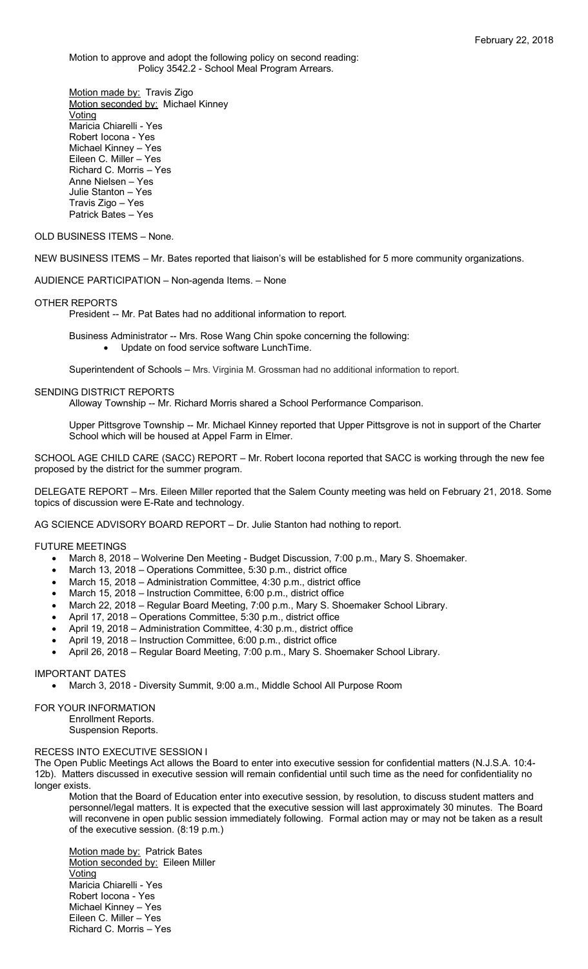Motion to approve and adopt the following policy on second reading: Policy 3542.2 - School Meal Program Arrears.

Motion made by: Travis Zigo Motion seconded by: Michael Kinney Voting Maricia Chiarelli - Yes Robert Iocona - Yes Michael Kinney – Yes Eileen C. Miller – Yes Richard C. Morris – Yes Anne Nielsen – Yes Julie Stanton – Yes Travis Zigo – Yes Patrick Bates – Yes

## OLD BUSINESS ITEMS – None.

NEW BUSINESS ITEMS – Mr. Bates reported that liaison's will be established for 5 more community organizations.

AUDIENCE PARTICIPATION – Non-agenda Items. – None

#### OTHER REPORTS

President -- Mr. Pat Bates had no additional information to report.

- Business Administrator -- Mrs. Rose Wang Chin spoke concerning the following: • Update on food service software LunchTime.
	-

Superintendent of Schools – Mrs. Virginia M. Grossman had no additional information to report.

### SENDING DISTRICT REPORTS

Alloway Township -- Mr. Richard Morris shared a School Performance Comparison.

Upper Pittsgrove Township -- Mr. Michael Kinney reported that Upper Pittsgrove is not in support of the Charter School which will be housed at Appel Farm in Elmer.

SCHOOL AGE CHILD CARE (SACC) REPORT – Mr. Robert Iocona reported that SACC is working through the new fee proposed by the district for the summer program.

DELEGATE REPORT – Mrs. Eileen Miller reported that the Salem County meeting was held on February 21, 2018. Some topics of discussion were E-Rate and technology.

AG SCIENCE ADVISORY BOARD REPORT – Dr. Julie Stanton had nothing to report.

## FUTURE MEETINGS

- March 8, 2018 Wolverine Den Meeting Budget Discussion, 7:00 p.m., Mary S. Shoemaker.
- March 13, 2018 Operations Committee, 5:30 p.m., district office
- March 15, 2018 Administration Committee, 4:30 p.m., district office
- March 15, 2018 Instruction Committee, 6:00 p.m., district office
- March 22, 2018 Regular Board Meeting, 7:00 p.m., Mary S. Shoemaker School Library.
- April 17, 2018 Operations Committee, 5:30 p.m., district office
- April 19, 2018 Administration Committee, 4:30 p.m., district office
- April 19, 2018 Instruction Committee, 6:00 p.m., district office
- April 26, 2018 Regular Board Meeting, 7:00 p.m., Mary S. Shoemaker School Library.

#### IMPORTANT DATES

• March 3, 2018 - Diversity Summit, 9:00 a.m., Middle School All Purpose Room

# FOR YOUR INFORMATION

Enrollment Reports. Suspension Reports.

### RECESS INTO EXECUTIVE SESSION I

The Open Public Meetings Act allows the Board to enter into executive session for confidential matters (N.J.S.A. 10:4- 12b). Matters discussed in executive session will remain confidential until such time as the need for confidentiality no longer exists.

Motion that the Board of Education enter into executive session, by resolution, to discuss student matters and personnel/legal matters. It is expected that the executive session will last approximately 30 minutes. The Board will reconvene in open public session immediately following. Formal action may or may not be taken as a result of the executive session. (8:19 p.m.)

Motion made by: Patrick Bates Motion seconded by: Eileen Miller Voting Maricia Chiarelli - Yes Robert Iocona - Yes Michael Kinney – Yes Eileen C. Miller – Yes Richard C. Morris – Yes